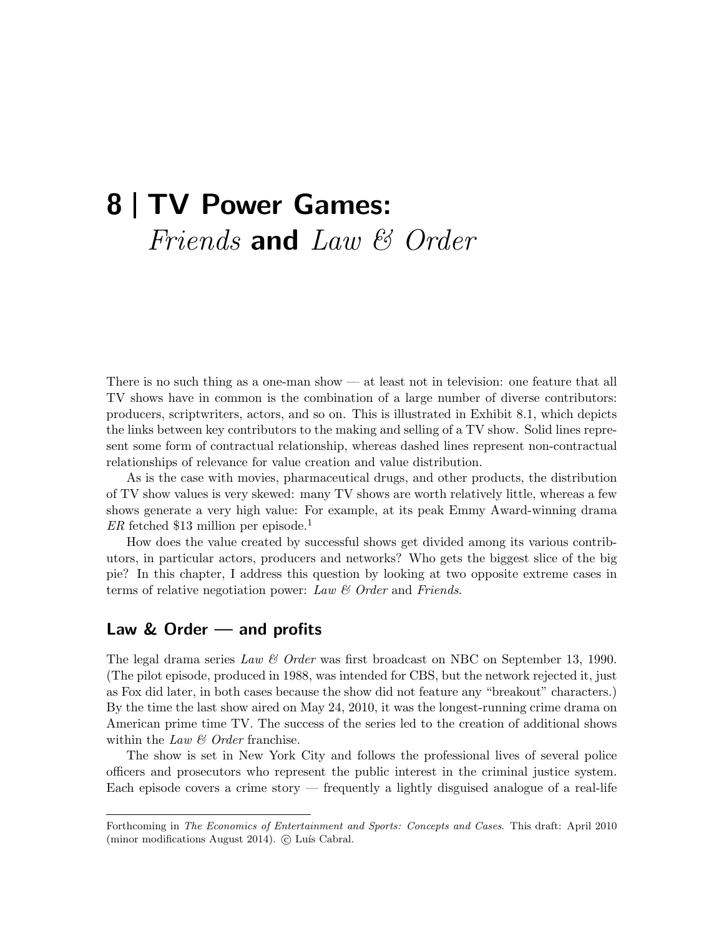# 8 | TV Power Games: Friends and Law & Order

There is no such thing as a one-man show — at least not in television: one feature that all TV shows have in common is the combination of a large number of diverse contributors: producers, scriptwriters, actors, and so on. This is illustrated in Exhibit 8.1, which depicts the links between key contributors to the making and selling of a TV show. Solid lines represent some form of contractual relationship, whereas dashed lines represent non-contractual relationships of relevance for value creation and value distribution.

As is the case with movies, pharmaceutical drugs, and other products, the distribution of TV show values is very skewed: many TV shows are worth relatively little, whereas a few shows generate a very high value: For example, at its peak Emmy Award-winning drama  $ER$  fetched \$13 million per episode.<sup>1</sup>

How does the value created by successful shows get divided among its various contributors, in particular actors, producers and networks? Who gets the biggest slice of the big pie? In this chapter, I address this question by looking at two opposite extreme cases in terms of relative negotiation power: Law  $\mathcal C$  Order and Friends.

## Law & Order — and profits

The legal drama series Law & Order was first broadcast on NBC on September 13, 1990. (The pilot episode, produced in 1988, was intended for CBS, but the network rejected it, just as Fox did later, in both cases because the show did not feature any "breakout" characters.) By the time the last show aired on May 24, 2010, it was the longest-running crime drama on American prime time TV. The success of the series led to the creation of additional shows within the Law  $\mathcal B$  Order franchise.

The show is set in New York City and follows the professional lives of several police officers and prosecutors who represent the public interest in the criminal justice system. Each episode covers a crime story — frequently a lightly disguised analogue of a real-life

Forthcoming in The Economics of Entertainment and Sports: Concepts and Cases. This draft: April 2010 (minor modifications August 2014). © Luís Cabral.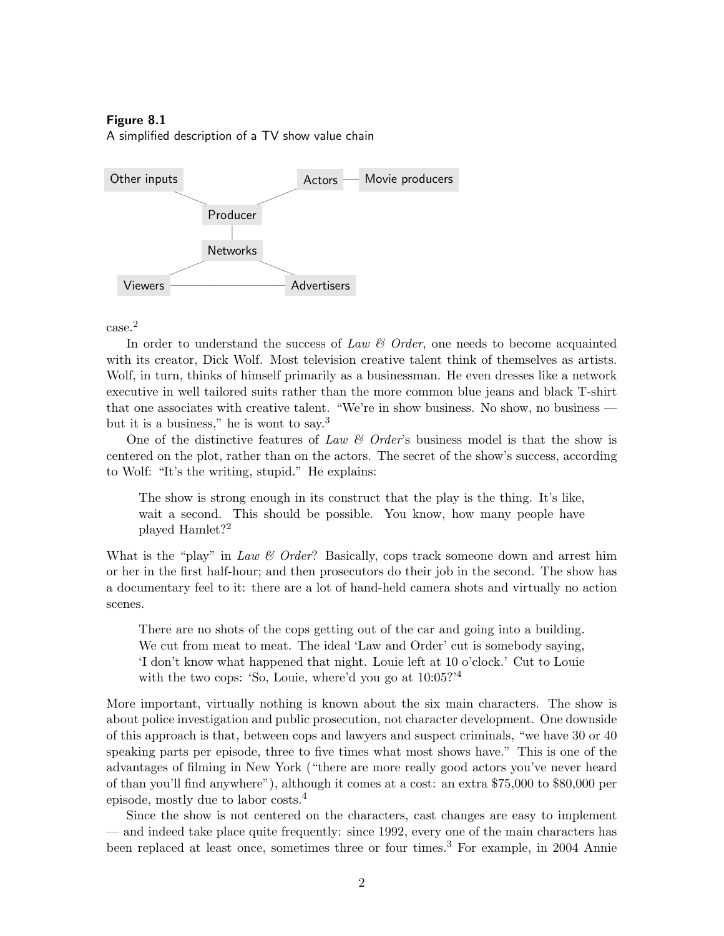#### Figure 8.1

A simplified description of a TV show value chain



### case.<sup>2</sup>

In order to understand the success of Law  $\mathcal C$  Order, one needs to become acquainted with its creator, Dick Wolf. Most television creative talent think of themselves as artists. Wolf, in turn, thinks of himself primarily as a businessman. He even dresses like a network executive in well tailored suits rather than the more common blue jeans and black T-shirt that one associates with creative talent. "We're in show business. No show, no business but it is a business," he is wont to say.<sup>3</sup>

One of the distinctive features of Law  $\mathcal{C}$  Order's business model is that the show is centered on the plot, rather than on the actors. The secret of the show's success, according to Wolf: "It's the writing, stupid." He explains:

The show is strong enough in its construct that the play is the thing. It's like, wait a second. This should be possible. You know, how many people have played Hamlet?<sup>2</sup>

What is the "play" in Law  $\mathcal{C}$  Order? Basically, cops track someone down and arrest him or her in the first half-hour; and then prosecutors do their job in the second. The show has a documentary feel to it: there are a lot of hand-held camera shots and virtually no action scenes.

There are no shots of the cops getting out of the car and going into a building. We cut from meat to meat. The ideal 'Law and Order' cut is somebody saying, 'I don't know what happened that night. Louie left at 10 o'clock.' Cut to Louie with the two cops: 'So, Louie, where'd you go at  $10:05$ <sup>2'4</sup>

More important, virtually nothing is known about the six main characters. The show is about police investigation and public prosecution, not character development. One downside of this approach is that, between cops and lawyers and suspect criminals, "we have 30 or 40 speaking parts per episode, three to five times what most shows have." This is one of the advantages of filming in New York ("there are more really good actors you've never heard of than you'll find anywhere"), although it comes at a cost: an extra \$75,000 to \$80,000 per episode, mostly due to labor costs.<sup>4</sup>

Since the show is not centered on the characters, cast changes are easy to implement — and indeed take place quite frequently: since 1992, every one of the main characters has been replaced at least once, sometimes three or four times.<sup>3</sup> For example, in 2004 Annie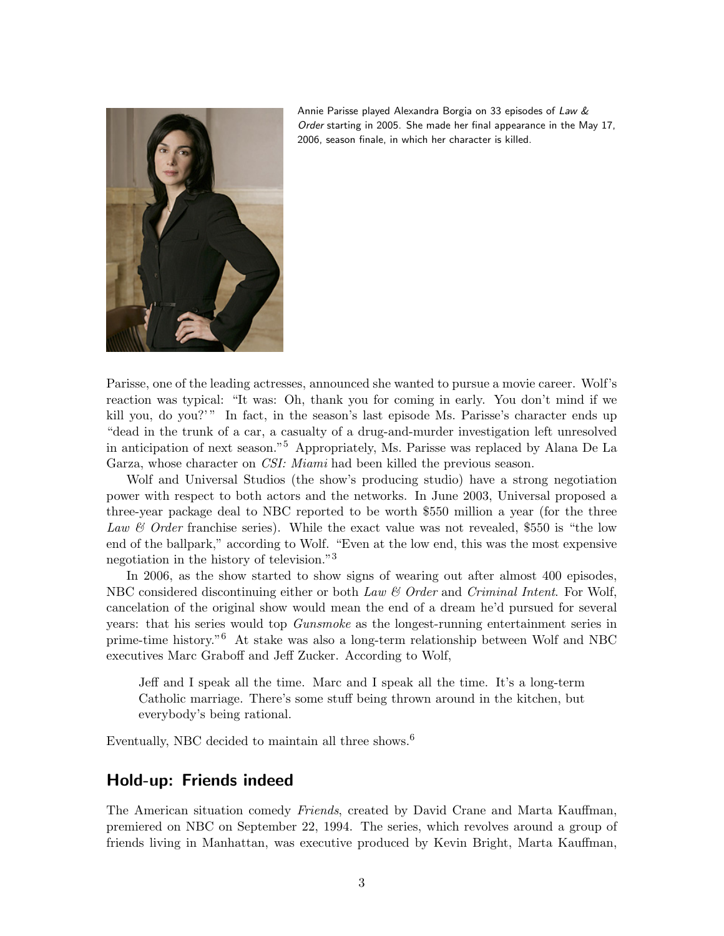

Annie Parisse played Alexandra Borgia on 33 episodes of Law & Order starting in 2005. She made her final appearance in the May 17, 2006, season finale, in which her character is killed.

Parisse, one of the leading actresses, announced she wanted to pursue a movie career. Wolf's reaction was typical: "It was: Oh, thank you for coming in early. You don't mind if we kill you, do you?'" In fact, in the season's last episode Ms. Parisse's character ends up "dead in the trunk of a car, a casualty of a drug-and-murder investigation left unresolved in anticipation of next season."<sup>5</sup> Appropriately, Ms. Parisse was replaced by Alana De La Garza, whose character on CSI: Miami had been killed the previous season.

Wolf and Universal Studios (the show's producing studio) have a strong negotiation power with respect to both actors and the networks. In June 2003, Universal proposed a three-year package deal to NBC reported to be worth \$550 million a year (for the three Law  $\mathcal{C}$  Order franchise series). While the exact value was not revealed, \$550 is "the low end of the ballpark," according to Wolf. "Even at the low end, this was the most expensive negotiation in the history of television."<sup>3</sup>

In 2006, as the show started to show signs of wearing out after almost 400 episodes, NBC considered discontinuing either or both Law  $\mathcal{C}$  Order and Criminal Intent. For Wolf, cancelation of the original show would mean the end of a dream he'd pursued for several years: that his series would top Gunsmoke as the longest-running entertainment series in prime-time history."<sup>6</sup> At stake was also a long-term relationship between Wolf and NBC executives Marc Graboff and Jeff Zucker. According to Wolf,

Jeff and I speak all the time. Marc and I speak all the time. It's a long-term Catholic marriage. There's some stuff being thrown around in the kitchen, but everybody's being rational.

Eventually, NBC decided to maintain all three shows.<sup>6</sup>

## Hold-up: Friends indeed

The American situation comedy *Friends*, created by David Crane and Marta Kauffman, premiered on NBC on September 22, 1994. The series, which revolves around a group of friends living in Manhattan, was executive produced by Kevin Bright, Marta Kauffman,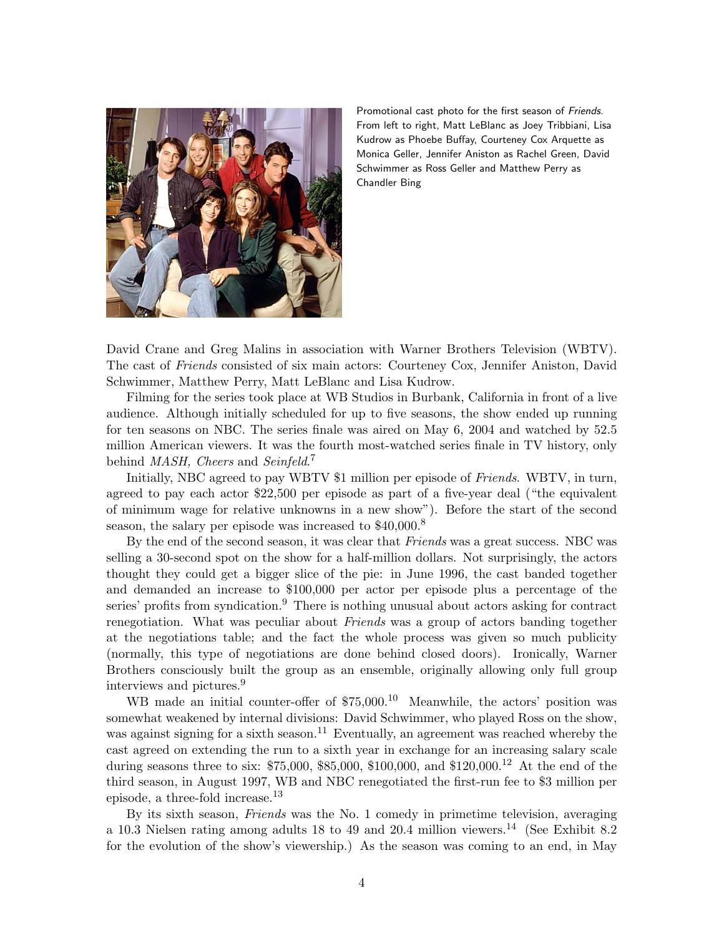

Promotional cast photo for the first season of Friends. From left to right, Matt LeBlanc as Joey Tribbiani, Lisa Kudrow as Phoebe Buffay, Courteney Cox Arquette as Monica Geller, Jennifer Aniston as Rachel Green, David Schwimmer as Ross Geller and Matthew Perry as Chandler Bing

David Crane and Greg Malins in association with Warner Brothers Television (WBTV). The cast of Friends consisted of six main actors: Courteney Cox, Jennifer Aniston, David Schwimmer, Matthew Perry, Matt LeBlanc and Lisa Kudrow.

Filming for the series took place at WB Studios in Burbank, California in front of a live audience. Although initially scheduled for up to five seasons, the show ended up running for ten seasons on NBC. The series finale was aired on May 6, 2004 and watched by 52.5 million American viewers. It was the fourth most-watched series finale in TV history, only behind MASH, Cheers and Seinfeld.<sup>7</sup>

Initially, NBC agreed to pay WBTV \$1 million per episode of Friends. WBTV, in turn, agreed to pay each actor \$22,500 per episode as part of a five-year deal ("the equivalent of minimum wage for relative unknowns in a new show"). Before the start of the second season, the salary per episode was increased to \$40,000.<sup>8</sup>

By the end of the second season, it was clear that Friends was a great success. NBC was selling a 30-second spot on the show for a half-million dollars. Not surprisingly, the actors thought they could get a bigger slice of the pie: in June 1996, the cast banded together and demanded an increase to \$100,000 per actor per episode plus a percentage of the series' profits from syndication.<sup>9</sup> There is nothing unusual about actors asking for contract renegotiation. What was peculiar about *Friends* was a group of actors banding together at the negotiations table; and the fact the whole process was given so much publicity (normally, this type of negotiations are done behind closed doors). Ironically, Warner Brothers consciously built the group as an ensemble, originally allowing only full group interviews and pictures.<sup>9</sup>

WB made an initial counter-offer of \$75,000.<sup>10</sup> Meanwhile, the actors' position was somewhat weakened by internal divisions: David Schwimmer, who played Ross on the show, was against signing for a sixth season.<sup>11</sup> Eventually, an agreement was reached whereby the cast agreed on extending the run to a sixth year in exchange for an increasing salary scale during seasons three to six: \$75,000, \$85,000, \$100,000, and \$120,000.<sup>12</sup> At the end of the third season, in August 1997, WB and NBC renegotiated the first-run fee to \$3 million per episode, a three-fold increase.<sup>13</sup>

By its sixth season, Friends was the No. 1 comedy in primetime television, averaging a 10.3 Nielsen rating among adults 18 to 49 and 20.4 million viewers.<sup>14</sup> (See Exhibit 8.2 for the evolution of the show's viewership.) As the season was coming to an end, in May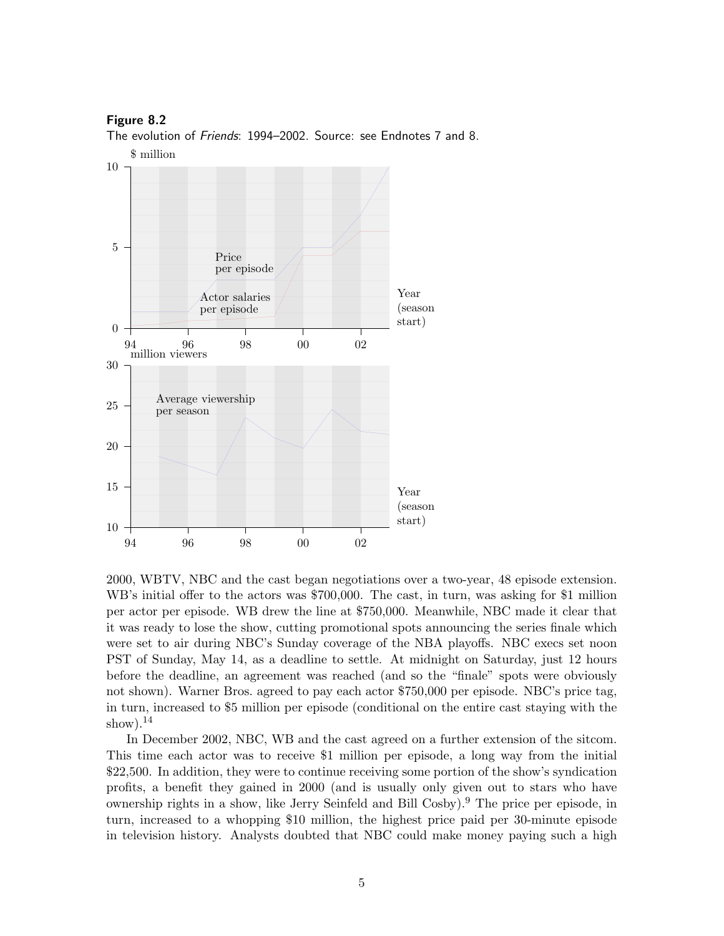#### Figure 8.2

The evolution of Friends: 1994–2002. Source: see Endnotes 7 and 8.



2000, WBTV, NBC and the cast began negotiations over a two-year, 48 episode extension. WB's initial offer to the actors was \$700,000. The cast, in turn, was asking for \$1 million per actor per episode. WB drew the line at \$750,000. Meanwhile, NBC made it clear that it was ready to lose the show, cutting promotional spots announcing the series finale which were set to air during NBC's Sunday coverage of the NBA playoffs. NBC execs set noon PST of Sunday, May 14, as a deadline to settle. At midnight on Saturday, just 12 hours before the deadline, an agreement was reached (and so the "finale" spots were obviously not shown). Warner Bros. agreed to pay each actor \$750,000 per episode. NBC's price tag, in turn, increased to \$5 million per episode (conditional on the entire cast staying with the show). $^{14}$ 

In December 2002, NBC, WB and the cast agreed on a further extension of the sitcom. This time each actor was to receive \$1 million per episode, a long way from the initial \$22,500. In addition, they were to continue receiving some portion of the show's syndication profits, a benefit they gained in 2000 (and is usually only given out to stars who have ownership rights in a show, like Jerry Seinfeld and Bill Cosby).<sup>9</sup> The price per episode, in turn, increased to a whopping \$10 million, the highest price paid per 30-minute episode in television history. Analysts doubted that NBC could make money paying such a high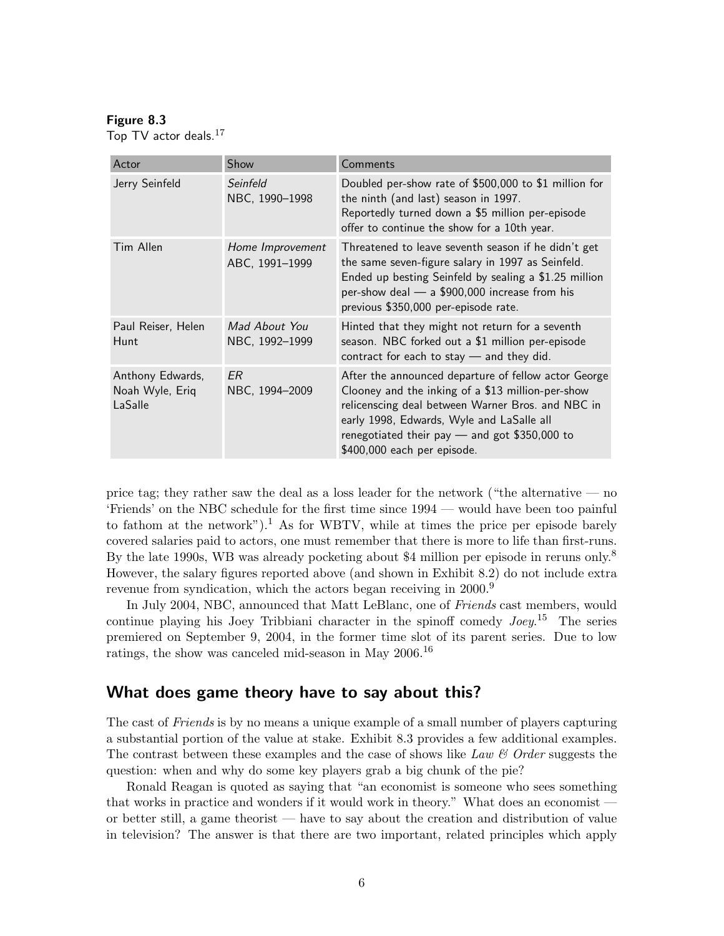#### Figure 8.3

Top TV actor deals.<sup>17</sup>

| Actor                                          | Show                               | Comments                                                                                                                                                                                                                                                                                      |
|------------------------------------------------|------------------------------------|-----------------------------------------------------------------------------------------------------------------------------------------------------------------------------------------------------------------------------------------------------------------------------------------------|
| Jerry Seinfeld                                 | Seinfeld<br>NBC, 1990-1998         | Doubled per-show rate of \$500,000 to \$1 million for<br>the ninth (and last) season in 1997.<br>Reportedly turned down a \$5 million per-episode<br>offer to continue the show for a 10th year.                                                                                              |
| Tim Allen                                      | Home Improvement<br>ABC, 1991-1999 | Threatened to leave seventh season if he didn't get<br>the same seven-figure salary in 1997 as Seinfeld.<br>Ended up besting Seinfeld by sealing a \$1.25 million<br>per-show deal - a \$900,000 increase from his<br>previous \$350,000 per-episode rate.                                    |
| Paul Reiser, Helen<br>Hunt                     | Mad About You<br>NBC, 1992-1999    | Hinted that they might not return for a seventh<br>season. NBC forked out a \$1 million per-episode<br>contract for each to stay $-$ and they did.                                                                                                                                            |
| Anthony Edwards,<br>Noah Wyle, Eriq<br>LaSalle | FR.<br>NBC, 1994-2009              | After the announced departure of fellow actor George<br>Clooney and the inking of a \$13 million-per-show<br>relicenscing deal between Warner Bros. and NBC in<br>early 1998, Edwards, Wyle and LaSalle all<br>renegotiated their pay $-$ and got \$350,000 to<br>\$400,000 each per episode. |

price tag; they rather saw the deal as a loss leader for the network ("the alternative — no 'Friends' on the NBC schedule for the first time since 1994 — would have been too painful to fathom at the network").<sup>1</sup> As for WBTV, while at times the price per episode barely covered salaries paid to actors, one must remember that there is more to life than first-runs. By the late 1990s, WB was already pocketing about \$4 million per episode in reruns only.<sup>8</sup> However, the salary figures reported above (and shown in Exhibit 8.2) do not include extra revenue from syndication, which the actors began receiving in 2000.<sup>9</sup>

In July 2004, NBC, announced that Matt LeBlanc, one of Friends cast members, would continue playing his Joey Tribbiani character in the spinoff comedy  $Joey^{15}$  The series premiered on September 9, 2004, in the former time slot of its parent series. Due to low ratings, the show was canceled mid-season in May 2006.<sup>16</sup>

## What does game theory have to say about this?

The cast of *Friends* is by no means a unique example of a small number of players capturing a substantial portion of the value at stake. Exhibit 8.3 provides a few additional examples. The contrast between these examples and the case of shows like Law  $\mathcal C$  Order suggests the question: when and why do some key players grab a big chunk of the pie?

Ronald Reagan is quoted as saying that "an economist is someone who sees something that works in practice and wonders if it would work in theory." What does an economist or better still, a game theorist — have to say about the creation and distribution of value in television? The answer is that there are two important, related principles which apply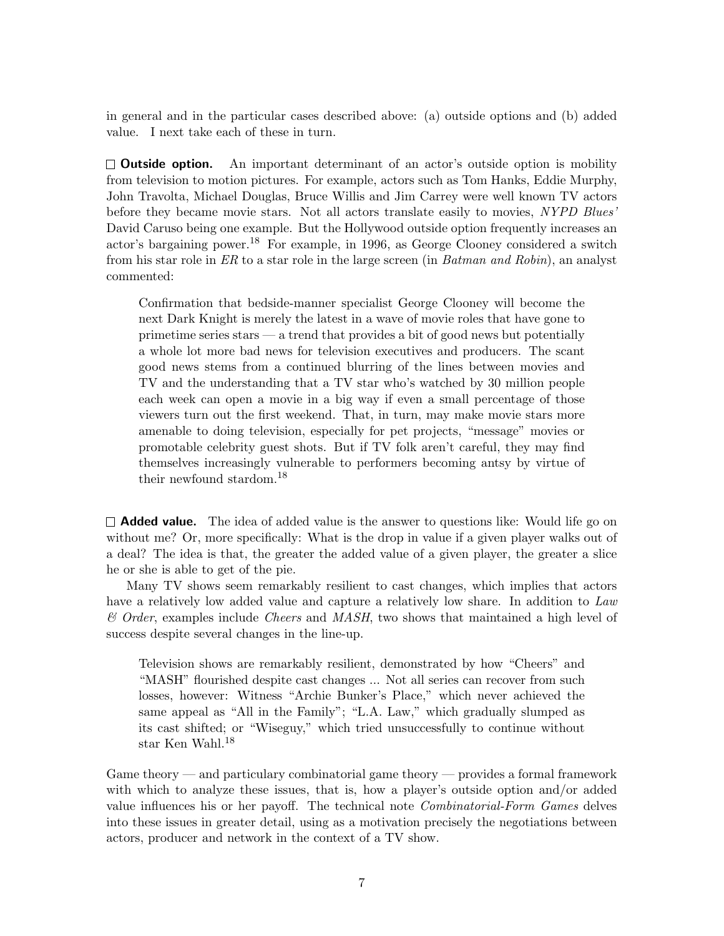in general and in the particular cases described above: (a) outside options and (b) added value. I next take each of these in turn.

 $\square$  **Outside option.** An important determinant of an actor's outside option is mobility from television to motion pictures. For example, actors such as Tom Hanks, Eddie Murphy, John Travolta, Michael Douglas, Bruce Willis and Jim Carrey were well known TV actors before they became movie stars. Not all actors translate easily to movies, NYPD Blues' David Caruso being one example. But the Hollywood outside option frequently increases an actor's bargaining power.<sup>18</sup> For example, in 1996, as George Clooney considered a switch from his star role in ER to a star role in the large screen (in Batman and Robin), an analyst commented:

Confirmation that bedside-manner specialist George Clooney will become the next Dark Knight is merely the latest in a wave of movie roles that have gone to primetime series stars — a trend that provides a bit of good news but potentially a whole lot more bad news for television executives and producers. The scant good news stems from a continued blurring of the lines between movies and TV and the understanding that a TV star who's watched by 30 million people each week can open a movie in a big way if even a small percentage of those viewers turn out the first weekend. That, in turn, may make movie stars more amenable to doing television, especially for pet projects, "message" movies or promotable celebrity guest shots. But if TV folk aren't careful, they may find themselves increasingly vulnerable to performers becoming antsy by virtue of their newfound stardom.<sup>18</sup>

 $\Box$  **Added value.** The idea of added value is the answer to questions like: Would life go on without me? Or, more specifically: What is the drop in value if a given player walks out of a deal? The idea is that, the greater the added value of a given player, the greater a slice he or she is able to get of the pie.

Many TV shows seem remarkably resilient to cast changes, which implies that actors have a relatively low added value and capture a relatively low share. In addition to Law  $\mathcal{C}$  Order, examples include Cheers and MASH, two shows that maintained a high level of success despite several changes in the line-up.

Television shows are remarkably resilient, demonstrated by how "Cheers" and "MASH" flourished despite cast changes ... Not all series can recover from such losses, however: Witness "Archie Bunker's Place," which never achieved the same appeal as "All in the Family"; "L.A. Law," which gradually slumped as its cast shifted; or "Wiseguy," which tried unsuccessfully to continue without star Ken Wahl.<sup>18</sup>

Game theory — and particulary combinatorial game theory — provides a formal framework with which to analyze these issues, that is, how a player's outside option and/or added value influences his or her payoff. The technical note Combinatorial-Form Games delves into these issues in greater detail, using as a motivation precisely the negotiations between actors, producer and network in the context of a TV show.